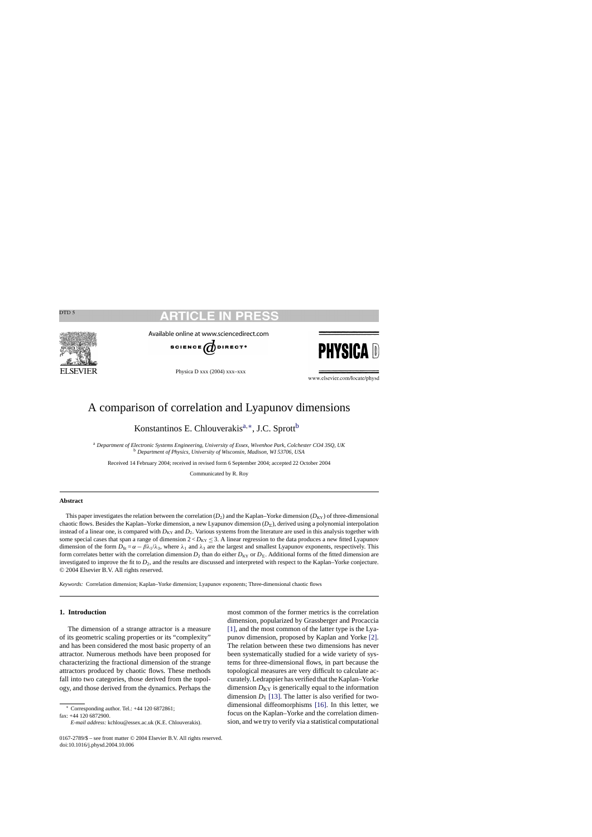# CLE IN

<span id="page-0-0"></span>

Available online at www.sciencedirect.com



Physica D xxx (2004) xxx–xxx



www.elsevier.com/locate/physd

# A comparison of correlation and Lyapunov dimensions

Konstantinos E. Chlouverakis<sup>a,∗</sup>, J.C. Sprott<sup>b</sup>

<sup>a</sup> *Department of Electronic Systems Engineering, University of Essex, Wivenhoe Park, Colchester CO4 3SQ, UK* <sup>b</sup> *Department of Physics, University of Wisconsin, Madison, WI 53706, USA*

Received 14 February 2004; received in revised form 6 September 2004; accepted 22 October 2004

Communicated by R. Roy

# **Abstract**

This paper investigates the relation between the correlation  $(D_2)$  and the Kaplan–Yorke dimension  $(D_{KY})$  of three-dimensional chaotic flows. Besides the Kaplan–Yorke dimension, a new Lyapunov dimension  $(D_\Sigma)$ , derived using a polynomial interpolation instead of a linear one, is compared with  $D_{KY}$  and  $D_2$ . Various systems from the literature are used in this analysis together with some special cases that span a range of dimension  $2 < D_{KY} \leq 3$ . A linear regression to the data produces a new fitted Lyapunov dimension of the form  $D_{\text{fit}} = \alpha - \beta \lambda_1/\lambda_3$ , where  $\lambda_1$  and  $\lambda_3$  are the largest and smallest Lyapunov exponents, respectively. This form correlates better with the correlation dimension  $D_2$  than do either  $D_{KY}$  or  $D_{\Sigma}$ . Additional forms of the fitted dimension are investigated to improve the fit to  $D_2$ , and the results are discussed and interpreted with respect to the Kaplan–Yorke conjecture. © 2004 Elsevier B.V. All rights reserved.

*Keywords:* Correlation dimension; Kaplan–Yorke dimension; Lyapunov exponents; Three-dimensional chaotic flows

### **1. Introduction**

The dimension of a strange attractor is a measure of its geometric scaling properties or its "complexity" and has been considered the most basic property of an attractor. Numerous methods have been proposed for characterizing the fractional dimension of the strange attractors produced by chaotic flows. These methods fall into two categories, those derived from the topology, and those derived from the dynamics. Perhaps the

∗ Corresponding author. Tel.: +44 120 6872861; fax: +44 120 6872900.

most common of the former metrics is the correlation dimension, popularized by Grassberger and Procaccia [\[1\],](#page-8-0) and the most common of the latter type is the Lyapunov dimension, proposed by Kaplan and Yorke [\[2\].](#page-8-0) The relation between these two dimensions has never been systematically studied for a wide variety of systems for three-dimensional flows, in part because the topological measures are very difficult to calculate accurately. Ledrappier has verified that the Kaplan–Yorke dimension  $D_{KY}$  is generically equal to the information dimension  $D_1$  [\[13\]. T](#page-8-0)he latter is also verified for twodimensional diffeomorphisms [\[16\].](#page-8-0) In this letter, we focus on the Kaplan–Yorke and the correlation dimension, and we try to verify via a statistical computational

*E-mail address:* kchlou@essex.ac.uk (K.E. Chlouverakis).

<sup>0167-2789/\$ –</sup> see front matter © 2004 Elsevier B.V. All rights reserved. doi:10.1016/j.physd.2004.10.006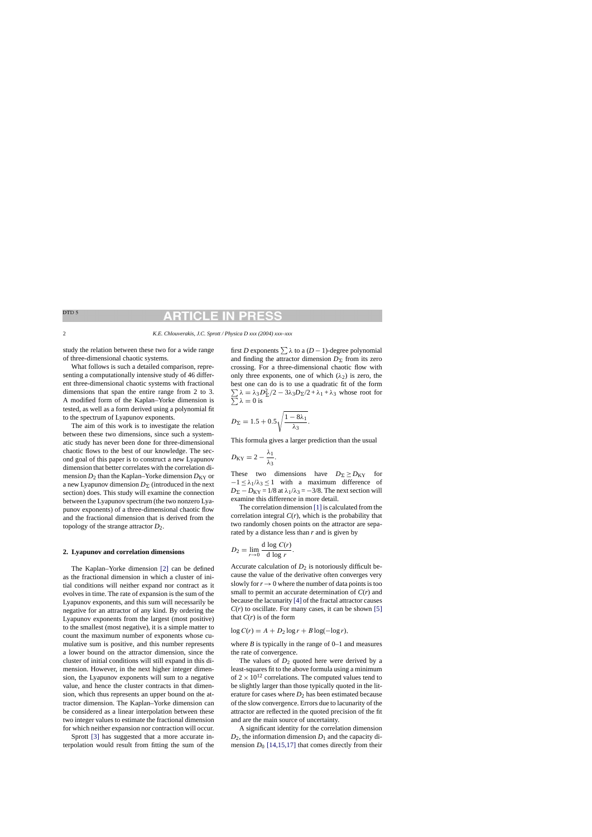### ARTICI F IN Ð

<span id="page-1-0"></span>study the relation between these two for a wide range of three-dimensional chaotic systems.

What follows is such a detailed comparison, representing a computationally intensive study of 46 different three-dimensional chaotic systems with fractional dimensions that span the entire range from 2 to 3. A modified form of the Kaplan–Yorke dimension is tested, as well as a form derived using a polynomial fit to the spectrum of Lyapunov exponents.

The aim of this work is to investigate the relation between these two dimensions, since such a systematic study has never been done for three-dimensional chaotic flows to the best of our knowledge. The second goal of this paper is to construct a new Lyapunov dimension that better correlates with the correlation dimension  $D_2$  than the Kaplan–Yorke dimension  $D_{KY}$  or a new Lyapunov dimension  $D_{\Sigma}$  (introduced in the next section) does. This study will examine the connection between the Lyapunov spectrum (the two nonzero Lyapunov exponents) of a three-dimensional chaotic flow and the fractional dimension that is derived from the topology of the strange attractor *D*2.

## **2. Lyapunov and correlation dimensions**

The Kaplan–Yorke dimension [\[2\]](#page-8-0) can be defined as the fractional dimension in which a cluster of initial conditions will neither expand nor contract as it evolves in time. The rate of expansion is the sum of the Lyapunov exponents, and this sum will necessarily be negative for an attractor of any kind. By ordering the Lyapunov exponents from the largest (most positive) to the smallest (most negative), it is a simple matter to count the maximum number of exponents whose cumulative sum is positive, and this number represents a lower bound on the attractor dimension, since the cluster of initial conditions will still expand in this dimension. However, in the next higher integer dimension, the Lyapunov exponents will sum to a negative value, and hence the cluster contracts in that dimension, which thus represents an upper bound on the attractor dimension. The Kaplan–Yorke dimension can be considered as a linear interpolation between these two integer values to estimate the fractional dimension for which neither expansion nor contraction will occur.

Sprott [\[3\]](#page-8-0) has suggested that a more accurate interpolation would result from fitting the sum of the first *D* exponents  $\sum \lambda$  to a (*D* − 1)-degree polynomial and finding the attractor dimension  $D_{\Sigma}$  from its zero crossing. For a three-dimensional chaotic flow with only three exponents, one of which  $(\lambda_2)$  is zero, the best one can do is to use a quadratic fit of the form  $\sum \lambda = \lambda_3 D_{\Sigma}^2$ <br> $\sum \lambda = 0$  is  $(2 - 3\lambda_3 D_{\Sigma}/2 + \lambda_1 + \lambda_3)$  whose root for  $\lambda = 0$  is

$$
D_{\Sigma} = 1.5 + 0.5 \sqrt{\frac{1 - 8\lambda_1}{\lambda_3}}.
$$

This formula gives a larger prediction than the usual

$$
D_{\rm KY} = 2 - \frac{\lambda_1}{\lambda_3}.
$$

These two dimensions have  $D_{\Sigma} \ge D_{KY}$  for  $-1 \leq \lambda_1/\lambda_3 \leq 1$  with a maximum difference of  $D_{\Sigma} - D_{\text{KY}} = 1/8$  at  $\lambda_1/\lambda_3 = -3/8$ . The next section will examine this difference in more detail.

The correlation dimension [\[1\]](#page-8-0) is calculated from the correlation integral  $C(r)$ , which is the probability that two randomly chosen points on the attractor are separated by a distance less than *r* and is given by

$$
D_2 = \lim_{r \to 0} \frac{\mathrm{d} \log C(r)}{\mathrm{d} \log r}.
$$

Accurate calculation of  $D_2$  is notoriously difficult because the value of the derivative often converges very slowly for  $r \to 0$  where the number of data points is too small to permit an accurate determination of *C*(*r*) and because the lacunarity [\[4\]](#page-8-0) of the fractal attractor causes  $C(r)$  to oscillate. For many cases, it can be shown [\[5\]](#page-8-0) that  $C(r)$  is of the form

$$
\log C(r) = A + D_2 \log r + B \log(-\log r),
$$

where  $B$  is typically in the range of  $0-1$  and measures the rate of convergence.

The values of  $D_2$  quoted here were derived by a least-squares fit to the above formula using a minimum of  $2 \times 10^{12}$  correlations. The computed values tend to be slightly larger than those typically quoted in the literature for cases where  $D_2$  has been estimated because of the slow convergence. Errors due to lacunarity of the attractor are reflected in the quoted precision of the fit and are the main source of uncertainty.

A significant identity for the correlation dimension  $D_2$ , the information dimension  $D_1$  and the capacity dimension  $D_0$  [\[14,15,17\]](#page-8-0) that comes directly from their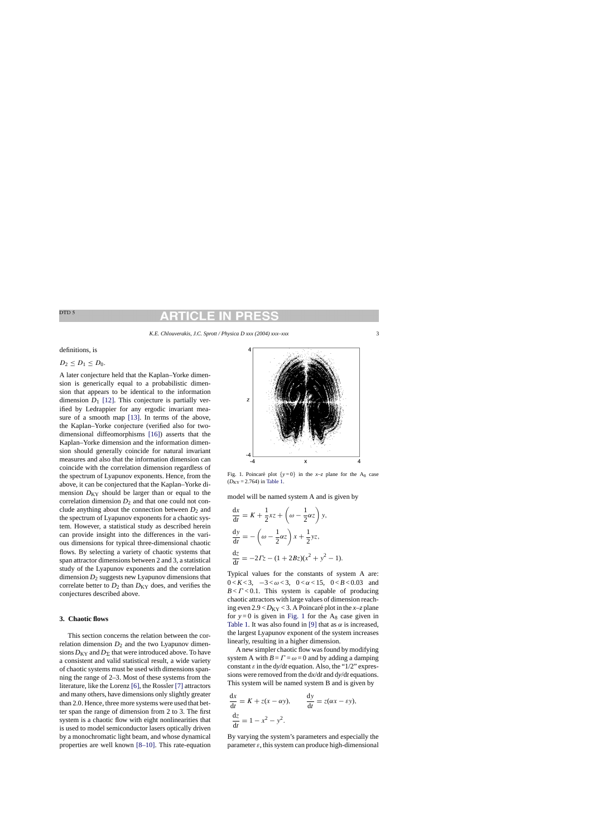definitions, is

$$
D_2\leq D_1\leq D_0.
$$

A later conjecture held that the Kaplan–Yorke dimension is generically equal to a probabilistic dimension that appears to be identical to the information dimension  $D_1$  [\[12\].](#page-8-0) This conjecture is partially verified by Ledrappier for any ergodic invariant measure of a smooth map [\[13\].](#page-8-0) In terms of the above, the Kaplan–Yorke conjecture (verified also for twodimensional diffeomorphisms [\[16\]\)](#page-8-0) asserts that the Kaplan–Yorke dimension and the information dimension should generally coincide for natural invariant measures and also that the information dimension can coincide with the correlation dimension regardless of the spectrum of Lyapunov exponents. Hence, from the above, it can be conjectured that the Kaplan–Yorke dimension  $D_{KY}$  should be larger than or equal to the correlation dimension  $D_2$  and that one could not conclude anything about the connection between  $D_2$  and the spectrum of Lyapunov exponents for a chaotic system. However, a statistical study as described herein can provide insight into the differences in the various dimensions for typical three-dimensional chaotic flows. By selecting a variety of chaotic systems that span attractor dimensions between 2 and 3, a statistical study of the Lyapunov exponents and the correlation dimension  $D_2$  suggests new Lyapunov dimensions that correlate better to  $D_2$  than  $D_{KY}$  does, and verifies the conjectures described above.

# **3. Chaotic flows**

This section concerns the relation between the correlation dimension  $D_2$  and the two Lyapunov dimensions  $D_{KY}$  and  $D_{\Sigma}$  that were introduced above. To have a consistent and valid statistical result, a wide variety of chaotic systems must be used with dimensions spanning the range of 2–3. Most of these systems from the literature, like the Lorenz [\[6\], t](#page-8-0)he Rossler [\[7\]](#page-8-0) attractors and many others, have dimensions only slightly greater than 2.0. Hence, three more systems were used that better span the range of dimension from 2 to 3. The first system is a chaotic flow with eight nonlinearities that is used to model semiconductor lasers optically driven by a monochromatic light beam, and whose dynamical properties are well known [\[8–10\].](#page-8-0) This rate-equation



Fig. 1. Poincaré plot  $\{y=0\}$  in the *x*–*z* plane for the A<sub>8</sub> case  $(D_{KY} = 2.764)$  in [Table 1.](#page-3-0)

model will be named system A and is given by

$$
\frac{dx}{dt} = K + \frac{1}{2}xz + \left(\omega - \frac{1}{2}\alpha z\right)y,
$$
  
\n
$$
\frac{dy}{dt} = -\left(\omega - \frac{1}{2}\alpha z\right)x + \frac{1}{2}yz,
$$
  
\n
$$
\frac{dz}{dt} = -2Tz - (1 + 2Bz)(x^2 + y^2 - 1).
$$

Typical values for the constants of system A are:  $0 < K < 3, -3 < \omega < 3, 0 < \alpha < 15, 0 < B < 0.03$  and  $B < \Gamma < 0.1$ . This system is capable of producing chaotic attractors with large values of dimension reaching even  $2.9 < D_{KY} < 3$ . A Poincaré plot in the  $x$ –*z* plane for  $y=0$  is given in Fig. 1 for the  $A_8$  case given in [Table 1.](#page-3-0) It was also found in [\[9\]](#page-8-0) that as  $\alpha$  is increased, the largest Lyapunov exponent of the system increases linearly, resulting in a higher dimension.

A new simpler chaotic flow was found by modifying system A with  $B = \Gamma = \omega = 0$  and by adding a damping constant  $\varepsilon$  in the dy/dt equation. Also, the "1/2" expressions were removed from the d*x*/d*t* and d*y*/d*t* equations. This system will be named system B and is given by

$$
\frac{dx}{dt} = K + z(x - \alpha y), \qquad \frac{dy}{dt} = z(\alpha x - \varepsilon y),
$$

$$
\frac{dz}{dt} = 1 - x^2 - y^2.
$$

By varying the system's parameters and especially the parameter  $\varepsilon$ , this system can produce high-dimensional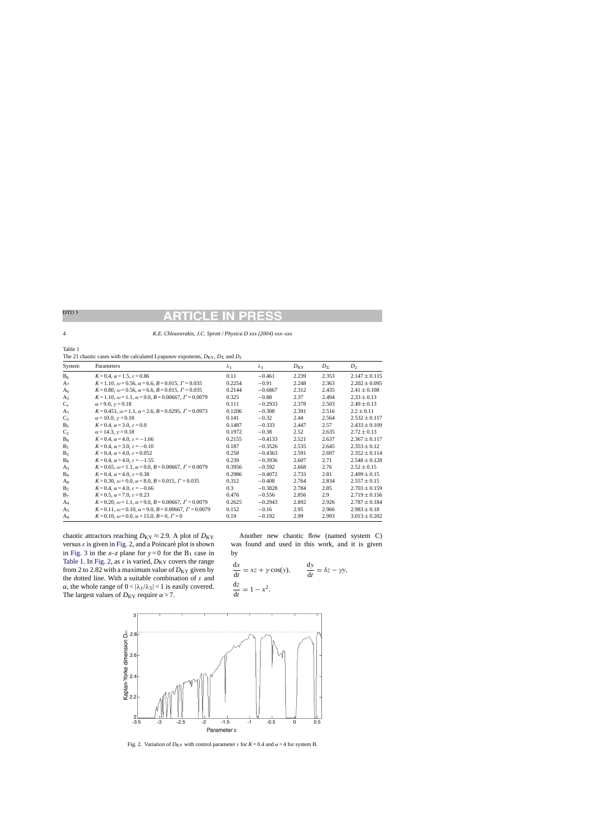# <span id="page-3-0"></span>DTD<sub>5</sub>

4 *K.E. Chlouverakis, J.C. Sprott / Physica D xxx (2004) xxx–xxx*

| Table 1                                                                                        |  |
|------------------------------------------------------------------------------------------------|--|
| The 21 chaotic cases with the calculated Lyapunov exponents, $D_{KY}$ , $D_{\Sigma}$ and $D_2$ |  |

| System         | Parameters                                                                        | $\lambda_1$ | $\lambda_3$ | $D_{\rm KY}$ | $D_{\Sigma}$ | $D_2$             |
|----------------|-----------------------------------------------------------------------------------|-------------|-------------|--------------|--------------|-------------------|
| B <sub>6</sub> | $K = 0.4$ , $\alpha = 1.5$ , $\varepsilon = 0.86$                                 | 0.11        | $-0.461$    | 2.239        | 2.353        | $2.147 \pm 0.115$ |
| A <sub>7</sub> | $K = 1.10$ , $\omega = 0.56$ , $\alpha = 6.6$ , $B = 0.015$ , $\Gamma = 0.035$    | 0.2254      | $-0.91$     | 2.248        | 2.363        | $2.202 \pm 0.095$ |
| A <sub>6</sub> | $K = 0.80$ , $\omega = 0.56$ , $\alpha = 6.6$ , $B = 0.015$ , $\Gamma = 0.035$    | 0.2144      | $-0.6867$   | 2.312        | 2.435        | $2.41 \pm 0.108$  |
| A <sub>2</sub> | $K = 1.10, \omega = 1.1, \alpha = 9.0, B = 0.00667, \Gamma = 0.0079$              | 0.325       | $-0.88$     | 2.37         | 2.494        | $2.33 \pm 0.13$   |
| $C_1$          | $\alpha = 9.0, \gamma = 0.18$                                                     | 0.111       | $-0.2933$   | 2.378        | 2.503        | $2.49 \pm 0.13$   |
| A <sub>1</sub> | $K = 0.451$ , $\omega = 1.1$ , $\alpha = 2.6$ , $B = 0.0295$ , $\Gamma = 0.0973$  | 0.1206      | $-0.308$    | 2.391        | 2.516        | $2.2 \pm 0.11$    |
| $C_3$          | $\alpha = 10.0, \gamma = 0.18$                                                    | 0.141       | $-0.32$     | 2.44         | 2.564        | $2.532 \pm 0.117$ |
| $B_5$          | $K = 0.4$ , $\alpha = 3.0$ , $\varepsilon = 0.0$                                  | 0.1487      | $-0.333$    | 2.447        | 2.57         | $2.433 \pm 0.109$ |
| $C_2$          | $\alpha = 14.3, \gamma = 0.18$                                                    | 0.1972      | $-0.38$     | 2.52         | 2.635        | $2.72 \pm 0.13$   |
| B <sub>9</sub> | $K = 0.4$ , $\alpha = 4.0$ , $\varepsilon = -1.66$                                | 0.2155      | $-0.4133$   | 2.521        | 2.637        | $2.367 \pm 0.117$ |
| $B_1$          | $K = 0.4$ , $\alpha = 3.0$ , $\varepsilon = -0.10$                                | 0.187       | $-0.3526$   | 2.535        | 2.645        | $2.353 \pm 0.12$  |
| $B_3$          | $K = 0.4$ , $\alpha = 4.0$ , $\varepsilon = 0.052$                                | 0.258       | $-0.4363$   | 2.591        | 2.697        | $2.352 \pm 0.114$ |
| $B_8$          | $K = 0.4$ , $\alpha = 4.0$ , $\varepsilon = -1.55$                                | 0.239       | $-0.3936$   | 2.607        | 2.71         | $2.548 \pm 0.128$ |
| $A_3$          | $K = 0.65$ , $\omega = 1.1$ , $\alpha = 9.0$ , $B = 0.00667$ , $\Gamma = 0.0079$  | 0.3956      | $-0.592$    | 2.668        | 2.76         | $2.52 \pm 0.15$   |
| $B_4$          | $K = 0.4$ , $\alpha = 4.0$ , $\varepsilon = 0.38$                                 | 0.2986      | $-0.4072$   | 2.733        | 2.81         | $2.499 \pm 0.15$  |
| $A_8$          | $K = 0.30$ , $\omega = 0.0$ , $\alpha = 8.0$ , $B = 0.015$ , $\Gamma = 0.035$     | 0.312       | $-0.408$    | 2.764        | 2.834        | $2.557 \pm 0.15$  |
| B <sub>2</sub> | $K = 0.4$ , $\alpha = 4.0$ , $\varepsilon = -0.66$                                | 0.3         | $-0.3828$   | 2.784        | 2.85         | $2.703 \pm 0.159$ |
| $B_7$          | $K = 0.5$ , $\alpha = 7.0$ , $\varepsilon = 0.23$                                 | 0.476       | $-0.556$    | 2.856        | 2.9          | $2.719 \pm 0.156$ |
| $A_4$          | $K = 0.20$ , $\omega = 1.1$ , $\alpha = 9.0$ , $B = 0.00667$ , $\Gamma = 0.0079$  | 0.2625      | $-0.2943$   | 2.892        | 2.926        | $2.787 \pm 0.184$ |
| A <sub>5</sub> | $K = 0.11$ , $\omega = 0.10$ , $\alpha = 9.0$ , $B = 0.00667$ , $\Gamma = 0.0079$ | 0.152       | $-0.16$     | 2.95         | 2.966        | $2.983 \pm 0.18$  |
| A <sub>9</sub> | $K = 0.10$ , $\omega = 0.0$ , $\alpha = 15.0$ , $B = 0$ , $\Gamma = 0$            | 0.19        | $-0.192$    | 2.99         | 2.993        | $3.013 \pm 0.202$ |

chaotic attractors reaching  $D_{KY} \approx 2.9$ . A plot of  $D_{KY}$ versus  $\varepsilon$  is given in Fig. 2, and a Poincaré plot is shown in [Fig. 3](#page-4-0) in the  $x-z$  plane for  $y=0$  for the B<sub>1</sub> case in Table 1. In Fig. 2, as  $\varepsilon$  is varied,  $D_{KY}$  covers the range from 2 to 2.82 with a maximum value of  $D_{KY}$  given by the dotted line. With a suitable combination of  $\varepsilon$  and  $\alpha$ , the whole range of  $0 < |\lambda_1/\lambda_3| < 1$  is easily covered. The largest values of  $D_{KY}$  require  $\alpha > 7$ .

Another new chaotic flow (named system C) was found and used in this work, and it is given by

$$
\frac{dx}{dt} = xz + \gamma \cos(y), \qquad \frac{dy}{dt} = \delta z - \gamma y,
$$
  

$$
\frac{dz}{dt} = 1 - x^2.
$$



Fig. 2. Variation of  $D_{KY}$  with control parameter  $\varepsilon$  for  $K = 0.4$  and  $\alpha = 4$  for system B.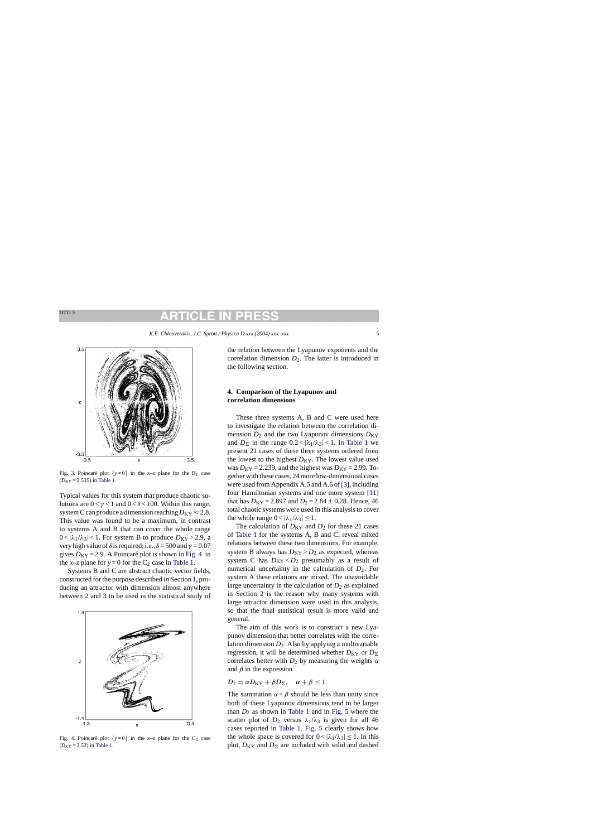<span id="page-4-0"></span>

Fig. 3. Poincaré plot  $\{y=0\}$  in the *x*-*z* plane for the B<sub>1</sub> case  $(D_{KY} = 2.535)$  in [Table 1.](#page-3-0)

Typical values for this system that produce chaotic solutions are  $0 < \gamma < 1$  and  $0 < \delta < 100$ . Within this range, system C can produce a dimension reaching  $D_{KY} \approx 2.8$ . This value was found to be a maximum, in contrast to systems A and B that can cover the whole range  $0 < |\lambda_1/\lambda_3| < 1$ . For system B to produce  $D_{KY} > 2.9$ , a very high value of  $\delta$  is required; i.e.,  $\delta = 500$  and  $\gamma = 0.07$ gives  $D_{KY} = 2.9$ . A Poincaré plot is shown in Fig. 4 in the *x*–*z* plane for  $y = 0$  for the  $C_2$  case in [Table 1.](#page-3-0)

Systems B and C are abstract chaotic vector fields, constructed for the purpose described in Section [1, p](#page-0-0)roducing an attractor with dimension almost anywhere between 2 and 3 to be used in the statistical study of



Fig. 4. Poincaré plot  $\{y=0\}$  in the *x*–*z* plane for the C<sub>2</sub> case  $(D_{KY} = 2.52)$  in [Table 1.](#page-3-0)

the relation between the Lyapunov exponents and the correlation dimension  $D_2$ . The latter is introduced in the following section.

# **4. Comparison of the Lyapunov and correlation dimensions**

These three systems A, B and C were used here to investigate the relation between the correlation dimension  $D_2$  and the two Lyapunov dimensions  $D_{KY}$ and  $D_{\Sigma}$  in the range  $0.2 < |\lambda_1/\lambda_3| < 1$ . In [Table 1](#page-3-0) we present 21 cases of these three systems ordered from the lowest to the highest  $D_{KY}$ . The lowest value used was  $D_{KY} = 2.239$ , and the highest was  $D_{KY} = 2.99$ . Together with these cases, 24 more low-dimensional cases were used from Appendix A.5 and A.6 of [\[3\], i](#page-8-0)ncluding four Hamiltonian systems and one more system [\[11\]](#page-8-0) that has  $D_{KY} = 2.897$  and  $D_2 = 2.84 \pm 0.28$ . Hence, 46 total chaotic systems were used in this analysis to cover the whole range  $0 < |\lambda_1/\lambda_3| \leq 1$ .

The calculation of  $D_{KY}$  and  $D_2$  for these 21 cases of [Table 1](#page-3-0) for the systems A, B and C, reveal mixed relations between these two dimensions. For example, system B always has  $D_{KY} > D_2$  as expected, whereas system C has  $D_{KY} < D_2$  presumably as a result of numerical uncertainty in the calculation of  $D_2$ . For system A these relations are mixed. The unavoidable large uncertainty in the calculation of  $D_2$  as explained in Section [2](#page-1-0) is the reason why many systems with large attractor dimension were used in this analysis, so that the final statistical result is more valid and general.

The aim of this work is to construct a new Lyapunov dimension that better correlates with the correlation dimension  $D_2$ . Also by applying a multivariable regression, it will be determined whether  $D_{KY}$  or  $D_{\Sigma}$ correlates better with  $D_2$  by measuring the weights  $\alpha$ and  $\beta$  in the expression

$$
D_2 = \alpha D_{\text{KY}} + \beta D_{\Sigma}, \quad \alpha + \beta \leq 1.
$$

The summation  $\alpha + \beta$  should be less than unity since both of these Lyapunov dimensions tend to be larger than  $D_2$  as shown in [Table 1](#page-3-0) and in [Fig. 5](#page-5-0) where the scatter plot of  $D_2$  versus  $\lambda_1/\lambda_3$  is given for all 46 cases reported in [Table 1.](#page-3-0) [Fig. 5](#page-5-0) clearly shows how the whole space is covered for  $0 < |\lambda_1/\lambda_3| \leq 1$ . In this plot,  $D_{KY}$  and  $D_{\Sigma}$  are included with solid and dashed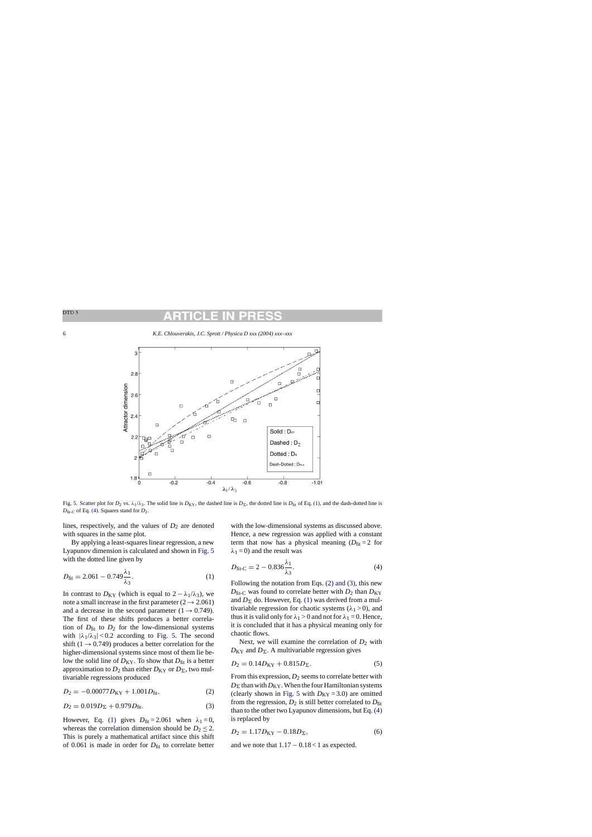

Fig. 5. Scatter plot for  $D_2$  vs.  $\lambda_1/\lambda_3$ . The solid line is  $D_{\text{KY}}$ , the dashed line is  $D_{\Sigma}$ , the dotted line is  $D_{\text{fit}}$  of Eq. (1), and the dash-dotted line is *D*fit-C of Eq. (4). Squares stand for *D*2.

lines, respectively, and the values of  $D_2$  are denoted with squares in the same plot.

By applying a least-squares linear regression, a new Lyapunov dimension is calculated and shown in Fig. 5 with the dotted line given by

$$
D_{\text{fit}} = 2.061 - 0.749 \frac{\lambda_1}{\lambda_3}.
$$
 (1)

In contrast to  $D_{KY}$  (which is equal to  $2 - \lambda_1/\lambda_3$ ), we note a small increase in the first parameter ( $2 \rightarrow 2.061$ ) and a decrease in the second parameter  $(1 \rightarrow 0.749)$ . The first of these shifts produces a better correlation of  $D_{\text{fit}}$  to  $D_2$  for the low-dimensional systems with  $|\lambda_1/\lambda_3|$  < 0.2 according to Fig. 5. The second shift (1  $\rightarrow$  0.749) produces a better correlation for the higher-dimensional systems since most of them lie below the solid line of  $D_{KY}$ . To show that  $D_{fit}$  is a better approximation to  $D_2$  than either  $D_{KY}$  or  $D_{\Sigma}$ , two multivariable regressions produced

$$
D_2 = -0.00077 D_{\text{KY}} + 1.001 D_{\text{fit}},\tag{2}
$$

$$
D_2 = 0.019D_{\Sigma} + 0.979D_{\text{fit}}.\tag{3}
$$

However, Eq. (1) gives  $D_{\text{fit}} = 2.061$  when  $\lambda_1 = 0$ , whereas the correlation dimension should be  $D_2 \leq 2$ . This is purely a mathematical artifact since this shift of  $0.061$  is made in order for  $D_{\text{fit}}$  to correlate better with the low-dimensional systems as discussed above. Hence, a new regression was applied with a constant term that now has a physical meaning  $(D_{\text{fit}} = 2$  for  $\lambda_1 = 0$ ) and the result was

$$
D_{\text{fit-C}} = 2 - 0.836 \frac{\lambda_1}{\lambda_3}.\tag{4}
$$

Following the notation from Eqs. (2) and (3), this new  $D_{\text{fit-C}}$  was found to correlate better with  $D_2$  than  $D_{\text{KY}}$ and  $D_{\Sigma}$  do. However, Eq. (1) was derived from a multivariable regression for chaotic systems  $(\lambda_1 > 0)$ , and thus it is valid only for  $\lambda_1 > 0$  and not for  $\lambda_1 = 0$ . Hence, it is concluded that it has a physical meaning only for chaotic flows.

Next, we will examine the correlation of  $D_2$  with  $D_{KY}$  and  $D_{\Sigma}$ . A multivariable regression gives

$$
D_2 = 0.14D_{\text{KY}} + 0.815D_{\Sigma}.
$$
 (5)

From this expression,  $D_2$  seems to correlate better with  $D_{\Sigma}$  than with  $D_{\mathrm{KY}}.$  When the four Hamiltonian systems (clearly shown in Fig. 5 with  $D_{KY} = 3.0$ ) are omitted from the regression,  $D_2$  is still better correlated to  $D_{\text{fit}}$ than to the other two Lyapunov dimensions, but Eq. (4) is replaced by

$$
D_2 = 1.17 D_{\text{KY}} - 0.18 D_{\Sigma},\tag{6}
$$

and we note that  $1.17 - 0.18 < 1$  as expected.

<span id="page-5-0"></span>DTD<sub>5</sub>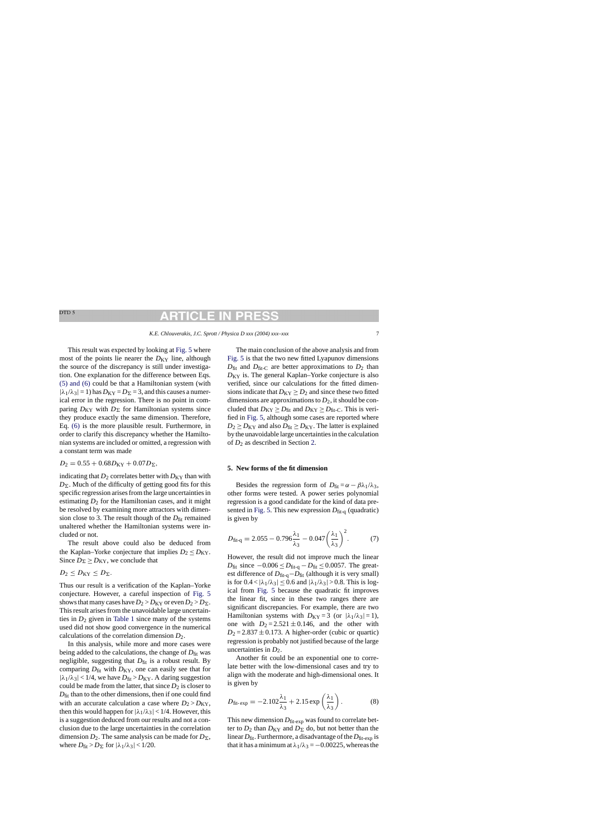# ARTICI F IN

*K.E. Chlouverakis, J.C. Sprott / Physica D xxx (2004) xxx–xxx* 7

<span id="page-6-0"></span>This result was expected by looking at [Fig. 5](#page-5-0) where most of the points lie nearer the  $D_{KY}$  line, although the source of the discrepancy is still under investigation. One explanation for the difference between Eqs. [\(5\) and \(6\)](#page-5-0) could be that a Hamiltonian system (with  $|\lambda_1/\lambda_3| = 1$ ) has  $D_{KY} = D_{\Sigma} = 3$ , and this causes a numerical error in the regression. There is no point in comparing  $D_{KY}$  with  $D_{\Sigma}$  for Hamiltonian systems since they produce exactly the same dimension. Therefore, Eq. [\(6\)](#page-5-0) is the more plausible result. Furthermore, in order to clarify this discrepancy whether the Hamiltonian systems are included or omitted, a regression with a constant term was made

$$
D_2 = 0.55 + 0.68 D_{KY} + 0.07 D_{\Sigma},
$$

indicating that  $D_2$  correlates better with  $D_{KY}$  than with  $D_{\Sigma}$ . Much of the difficulty of getting good fits for this specific regression arises from the large uncertainties in estimating  $D_2$  for the Hamiltonian cases, and it might be resolved by examining more attractors with dimension close to 3. The result though of the  $D_{\text{fit}}$  remained unaltered whether the Hamiltonian systems were included or not.

The result above could also be deduced from the Kaplan–Yorke conjecture that implies  $D_2 \leq D_{KY}$ . Since  $D_{\Sigma} \geq D_{\text{KY}}$ , we conclude that

$$
D_2\leq D_{\rm KY}\leq D_{\Sigma}.
$$

Thus our result is a verification of the Kaplan–Yorke conjecture. However, a careful inspection of [Fig. 5](#page-5-0) shows that many cases have  $D_2 > D_{KY}$  or even  $D_2 > D_{\Sigma}$ . This result arises from the unavoidable large uncertainties in  $D_2$  given in [Table 1](#page-3-0) since many of the systems used did not show good convergence in the numerical calculations of the correlation dimension *D*2.

In this analysis, while more and more cases were being added to the calculations, the change of  $D_{\text{fit}}$  was negligible, suggesting that  $D_{\text{fit}}$  is a robust result. By comparing  $D_{\text{fit}}$  with  $D_{\text{KY}}$ , one can easily see that for  $|\lambda_1/\lambda_3|$  < 1/4, we have  $D_{\text{fit}} > D_{\text{KY}}$ . A daring suggestion could be made from the latter, that since  $D_2$  is closer to  $D_{\text{fit}}$  than to the other dimensions, then if one could find with an accurate calculation a case where  $D_2 > D_{KY}$ , then this would happen for  $|\lambda_1/\lambda_3|$  < 1/4. However, this is a suggestion deduced from our results and not a conclusion due to the large uncertainties in the correlation dimension  $D_2$ . The same analysis can be made for  $D_{\Sigma}$ , where  $D_{\text{fit}} > D_{\Sigma}$  for  $|\lambda_1/\lambda_3| < 1/20$ .

The main conclusion of the above analysis and from [Fig. 5](#page-5-0) is that the two new fitted Lyapunov dimensions  $D_{\text{fit}}$  and  $D_{\text{fit}}$  are better approximations to  $D_2$  than *D*<sub>KY</sub> is. The general Kaplan–Yorke conjecture is also verified, since our calculations for the fitted dimensions indicate that  $D_{KY} \ge D_2$  and since these two fitted dimensions are approximations to  $D_2$ , it should be concluded that  $D_{KY} \ge D_{fit}$  and  $D_{KY} \ge D_{fit-C}$ . This is verified in [Fig. 5, a](#page-5-0)lthough some cases are reported where  $D_2 \geq D_{\text{KY}}$  and also  $D_{\text{fit}} \geq D_{\text{KY}}$ . The latter is explained by the unavoidable large uncertainties in the calculation of *D*<sup>2</sup> as described in Section [2.](#page-1-0)

### **5. New forms of the fit dimension**

Besides the regression form of  $D_{\text{fit}} = \alpha - \beta \lambda_1 / \lambda_3$ , other forms were tested. A power series polynomial regression is a good candidate for the kind of data pre-sented in [Fig. 5. T](#page-5-0)his new expression  $D_{\text{fit}-q}$  (quadratic) is given by

$$
D_{\text{fit-q}} = 2.055 - 0.796 \frac{\lambda_1}{\lambda_3} - 0.047 \left(\frac{\lambda_1}{\lambda_3}\right)^2. \tag{7}
$$

However, the result did not improve much the linear *D*<sub>fit</sub> since  $-0.006 \le D_{\text{fit-q}} - D_{\text{fit}} \le 0.0057$ . The greatest difference of  $D_{\text{fit-q}} - D_{\text{fit}}$  (although it is very small) is for  $0.4 < |\lambda_1/\lambda_3| \leq 0.6$  and  $|\lambda_1/\lambda_3| > 0.8$ . This is logical from [Fig. 5](#page-5-0) because the quadratic fit improves the linear fit, since in these two ranges there are significant discrepancies. For example, there are two Hamiltonian systems with  $D_{KY} = 3$  (or  $|\lambda_1/\lambda_3| = 1$ ), one with  $D_2 = 2.521 \pm 0.146$ , and the other with  $D_2 = 2.837 \pm 0.173$ . A higher-order (cubic or quartic) regression is probably not justified because of the large uncertainties in  $D_2$ .

Another fit could be an exponential one to correlate better with the low-dimensional cases and try to align with the moderate and high-dimensional ones. It is given by

$$
D_{\text{fit-exp}} = -2.102 \frac{\lambda_1}{\lambda_3} + 2.15 \exp\left(\frac{\lambda_1}{\lambda_3}\right). \tag{8}
$$

This new dimension  $D_{\text{fit-exp}}$  was found to correlate better to  $D_2$  than  $D_{KY}$  and  $D_{\Sigma}$  do, but not better than the linear  $D_{\text{fit}}$ . Furthermore, a disadvantage of the  $D_{\text{fit-exp}}$  is that it has a minimum at  $\lambda_1/\lambda_3 = -0.00225$ , whereas the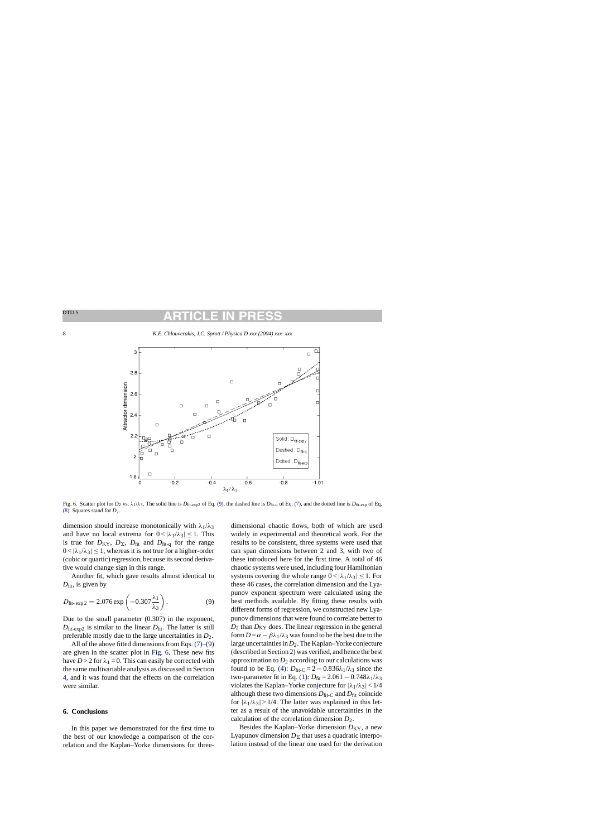

Fig. 6. Scatter plot for *D*<sub>2</sub> vs.  $\lambda_1/\lambda_3$ . The solid line is *D*<sub>fit-exp2</sub> of Eq. (9), the dashed line is *D*<sub>fit-q</sub> of Eq. [\(7\), a](#page-6-0)nd the dotted line is *D*<sub>fit-exp</sub> of Eq. [\(8\). S](#page-6-0)quares stand for *D*2.

dimension should increase monotonically with  $\lambda_1/\lambda_3$ and have no local extrema for  $0 < |\lambda_1/\lambda_3| \leq 1$ . This is true for  $D_{KY}$ ,  $D_{\Sigma}$ ,  $D_{fit}$  and  $D_{fit-q}$  for the range  $0 < |\lambda_1/\lambda_3| \leq 1$ , whereas it is not true for a higher-order (cubic or quartic) regression, because its second derivative would change sign in this range.

Another fit, which gave results almost identical to *D*<sub>fit</sub>, is given by

$$
D_{\text{fit-exp2}} = 2.076 \exp\left(-0.307 \frac{\lambda_1}{\lambda_3}\right). \tag{9}
$$

Due to the small parameter (0.307) in the exponent,  $D_{\text{fit-exn2}}$  is similar to the linear  $D_{\text{fit}}$ . The latter is still preferable mostly due to the large uncertainties in *D*2.

All of the above fitted dimensions from Eqs. [\(7\)–\(9\)](#page-6-0) are given in the scatter plot in Fig. 6. These new fits have  $D > 2$  for  $\lambda_1 = 0$ . This can easily be corrected with the same multivariable analysis as discussed in Section [4,](#page-4-0) and it was found that the effects on the correlation were similar.

## **6. Conclusions**

In this paper we demonstrated for the first time to the best of our knowledge a comparison of the correlation and the Kaplan–Yorke dimensions for threedimensional chaotic flows, both of which are used widely in experimental and theoretical work. For the results to be consistent, three systems were used that can span dimensions between 2 and 3, with two of these introduced here for the first time. A total of 46 chaotic systems were used, including four Hamiltonian systems covering the whole range  $0 < |\lambda_1/\lambda_3| \leq 1$ . For these 46 cases, the correlation dimension and the Lyapunov exponent spectrum were calculated using the best methods available. By fitting these results with different forms of regression, we constructed new Lyapunov dimensions that were found to correlate better to  $D_2$  than  $D_{KY}$  does. The linear regression in the general form  $D = \alpha - \beta \lambda_1 / \lambda_3$  was found to be the best due to the large uncertainties in*D*2. The Kaplan–Yorke conjecture (described in Section [2\)](#page-1-0) was verified, and hence the best approximation to  $D_2$  according to our calculations was found to be Eq. [\(4\):](#page-5-0)  $D_{\text{fit-C}} = 2 - 0.836\lambda_1/\lambda_3$  since the two-parameter fit in Eq. [\(1\):](#page-5-0)  $D_{\text{fit}} = 2.061 - 0.748\lambda_1/\lambda_3$ violates the Kaplan–Yorke conjecture for  $|\lambda_1/\lambda_3|$  < 1/4 although these two dimensions  $D_{\text{fit}-C}$  and  $D_{\text{fit}}$  coincide for  $|\lambda_1/\lambda_3| > 1/4$ . The latter was explained in this letter as a result of the unavoidable uncertainties in the calculation of the correlation dimension  $D_2$ .

Besides the Kaplan–Yorke dimension  $D_{KY}$ , a new Lyapunov dimension  $D_{\Sigma}$  that uses a quadratic interpolation instead of the linear one used for the derivation

DTD<sub>5</sub>